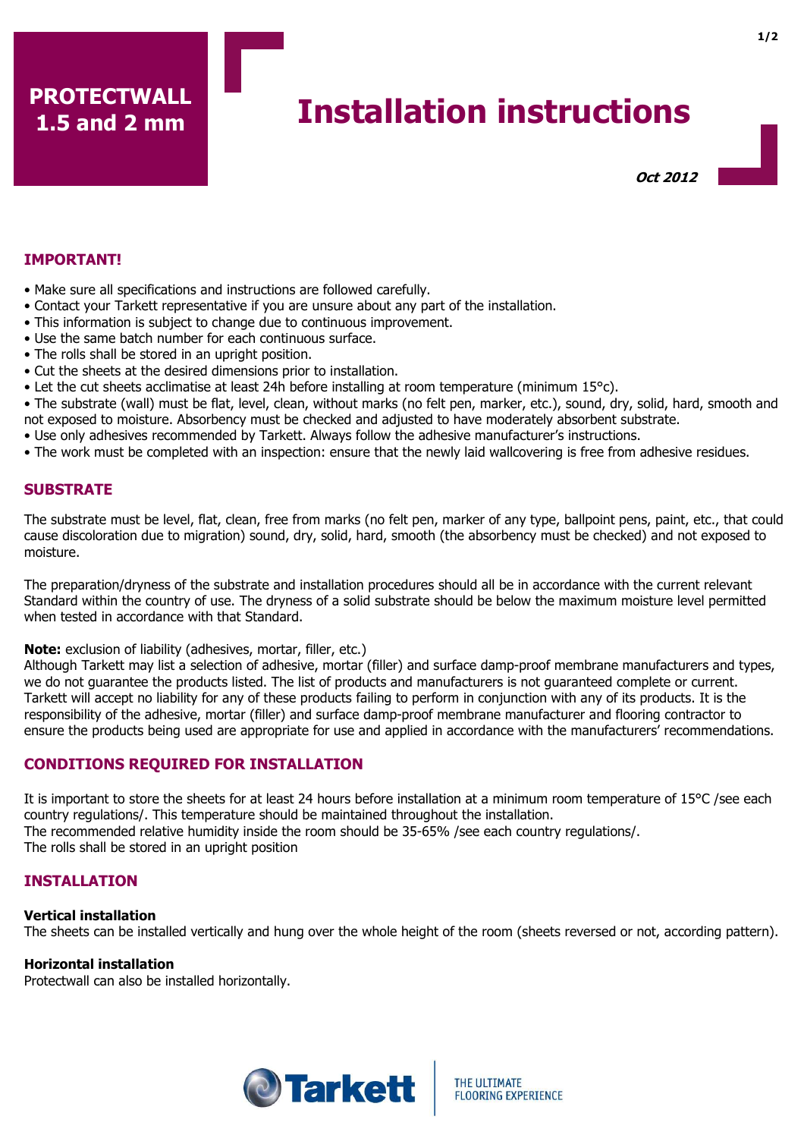# **Installation instructions**

Oct 2012

## IMPORTANT!

- Make sure all specifications and instructions are followed carefully.
- Contact your Tarkett representative if you are unsure about any part of the installation.
- This information is subject to change due to continuous improvement.
- Use the same batch number for each continuous surface.
- The rolls shall be stored in an upright position.
- Cut the sheets at the desired dimensions prior to installation.
- Let the cut sheets acclimatise at least 24h before installing at room temperature (minimum 15°c).
- The substrate (wall) must be flat, level, clean, without marks (no felt pen, marker, etc.), sound, dry, solid, hard, smooth and not exposed to moisture. Absorbency must be checked and adjusted to have moderately absorbent substrate.
- Use only adhesives recommended by Tarkett. Always follow the adhesive manufacturer's instructions.
- The work must be completed with an inspection: ensure that the newly laid wallcovering is free from adhesive residues.

## **SUBSTRATE**

The substrate must be level, flat, clean, free from marks (no felt pen, marker of any type, ballpoint pens, paint, etc., that could cause discoloration due to migration) sound, dry, solid, hard, smooth (the absorbency must be checked) and not exposed to moisture.

The preparation/dryness of the substrate and installation procedures should all be in accordance with the current relevant Standard within the country of use. The dryness of a solid substrate should be below the maximum moisture level permitted when tested in accordance with that Standard.

Note: exclusion of liability (adhesives, mortar, filler, etc.)

Although Tarkett may list a selection of adhesive, mortar (filler) and surface damp-proof membrane manufacturers and types, we do not guarantee the products listed. The list of products and manufacturers is not guaranteed complete or current. Tarkett will accept no liability for any of these products failing to perform in conjunction with any of its products. It is the responsibility of the adhesive, mortar (filler) and surface damp-proof membrane manufacturer and flooring contractor to ensure the products being used are appropriate for use and applied in accordance with the manufacturers' recommendations.

# CONDITIONS REQUIRED FOR INSTALLATION

It is important to store the sheets for at least 24 hours before installation at a minimum room temperature of 15°C /see each country regulations/. This temperature should be maintained throughout the installation. The recommended relative humidity inside the room should be 35-65% /see each country regulations/. The rolls shall be stored in an upright position

# INSTALLATION

#### Vertical installation

The sheets can be installed vertically and hung over the whole height of the room (sheets reversed or not, according pattern).

## Horizontal installation

Protectwall can also be installed horizontally.